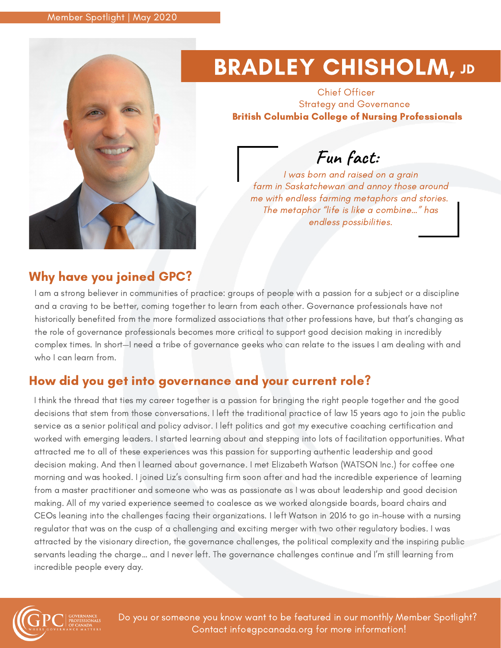

# **BRADLEY CHISHOLM, JD**

Chief Officer Strategy and Governance British Columbia College of Nursing Professionals

### **Fun fact:**

I was born and raised on a grain farm in Saskatchewan and annoy those around me with endless farming metaphors and stories. The metaphor "life is like a combine…" has endless possibilities.

### Why have you joined GPC?

I am a strong believer in communities of practice: groups of people with a passion for a subject or a discipline and a craving to be better, coming together to learn from each other. Governance professionals have not historically benefited from the more formalized associations that other professions have, but that's changing as the role of governance professionals becomes more critical to support good decision making in incredibly complex times. In short—I need a tribe of governance geeks who can relate to the issues I am dealing with and who I can learn from.

### How did you get into governance and your current role?

I think the thread that ties my career together is a passion for bringing the right people together and the good decisions that stem from those conversations. I left the traditional practice of law 15 years ago to join the public service as a senior political and policy advisor. I left politics and got my executive coaching certification and worked with emerging leaders. I started learning about and stepping into lots of facilitation opportunities. What attracted me to all of these experiences was this passion for supporting authentic leadership and good decision making. And then I learned about governance. I met Elizabeth Watson (WATSON Inc.) for coffee one morning and was hooked. I joined Liz's consulting firm soon after and had the incredible experience of learning from a master practitioner and someone who was as passionate as I was about leadership and good decision making. All of my varied experience seemed to coalesce as we worked alongside boards, board chairs and CEOs leaning into the challenges facing their organizations. I left Watson in 2016 to go in-house with a nursing regulator that was on the cusp of a challenging and exciting merger with two other regulatory bodies. I was attracted by the visionary direction, the governance challenges, the political complexity and the inspiring public servants leading the charge… and I never left. The governance challenges continue and I'm still learning from incredible people every day.



Do you or someone you know want to be featured in our monthly Member Spotlight? Contact info@gpcanada.org for more information!